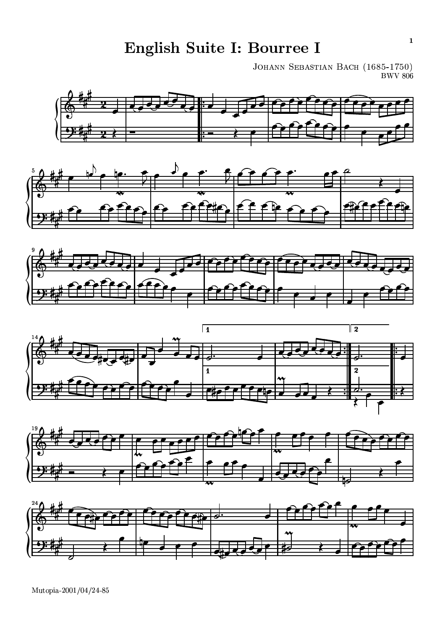English Suite I: Bourree I

JOHANN SEBASTIAN BACH (1685-1750)<br>BWV 806